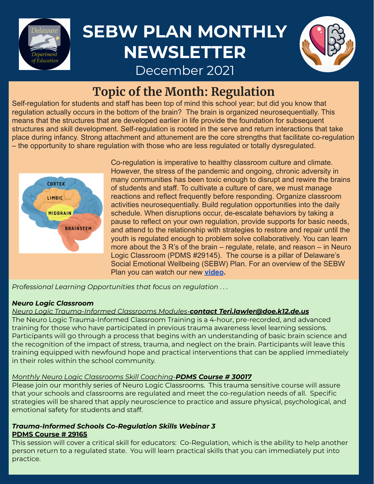

## **SEBW PLAN MONTHLY NEWSLETTER**



December 2021

### **Topic of the Month: Regulation**

Self-regulation for students and staff has been top of mind this school year; but did you know that regulation actually occurs in the bottom of the brain? The brain is organized neurosequentially. This means that the structures that are developed earlier in life provide the foundation for subsequent structures and skill development. Self-regulation is rooted in the serve and return interactions that take place during infancy. Strong attachment and attunement are the core strengths that facilitate co-regulation – the opportunity to share regulation with those who are less regulated or totally dysregulated.



Co-regulation is imperative to healthy classroom culture and climate. However, the stress of the pandemic and ongoing, chronic adversity in many communities has been toxic enough to disrupt and rewire the brains of students and staff. To cultivate a culture of care, we must manage reactions and reflect frequently before responding. Organize classroom activities neurosequentially. Build regulation opportunities into the daily schedule. When disruptions occur, de-escalate behaviors by taking a pause to reflect on your own regulation, provide supports for basic needs, and attend to the relationship with strategies to restore and repair until the youth is regulated enough to problem solve collaboratively. You can learn more about the 3 R's of the brain – regulate, relate, and reason – in Neuro Logic Classroom (PDMS #29145). The course is a pillar of Delaware's Social Emotional Wellbeing (SEBW) Plan. For an overview of the SEBW Plan you can watch our new **[video](https://vimeo.com/truthanddocumentary/review/652154408/326e5f2ec3).**

*Professional Learning Opportunities that focus on regulation . . .*

#### *Neuro Logic Classroom*

#### *Neuro Logic Trauma-Informed Classrooms Modules-contact Teri.lawler@doe.k12.de.us*

The Neuro Logic Trauma-Informed Classroom Training is a 4-hour, pre-recorded, and advanced training for those who have participated in previous trauma awareness level learning sessions. Participants will go through a process that begins with an understanding of basic brain science and the recognition of the impact of stress, trauma, and neglect on the brain. Participants will leave this training equipped with newfound hope and practical interventions that can be applied immediately in their roles within the school community.

#### *Monthly Neuro Logic Classrooms Skill Coaching-PDMS Course # 30017*

Please join our monthly series of Neuro Logic Classrooms. This trauma sensitive course will assure that your schools and classrooms are regulated and meet the co-regulation needs of all. Specific strategies will be shared that apply neuroscience to practice and assure physical, psychological, and emotional safety for students and staff.

#### *Trauma-Informed Schools Co-Regulation Skills Webinar 3* **PDMS Course # 29165**

This session will cover a critical skill for educators: Co-Regulation, which is the ability to help another person return to a regulated state. You will learn practical skills that you can immediately put into practice.